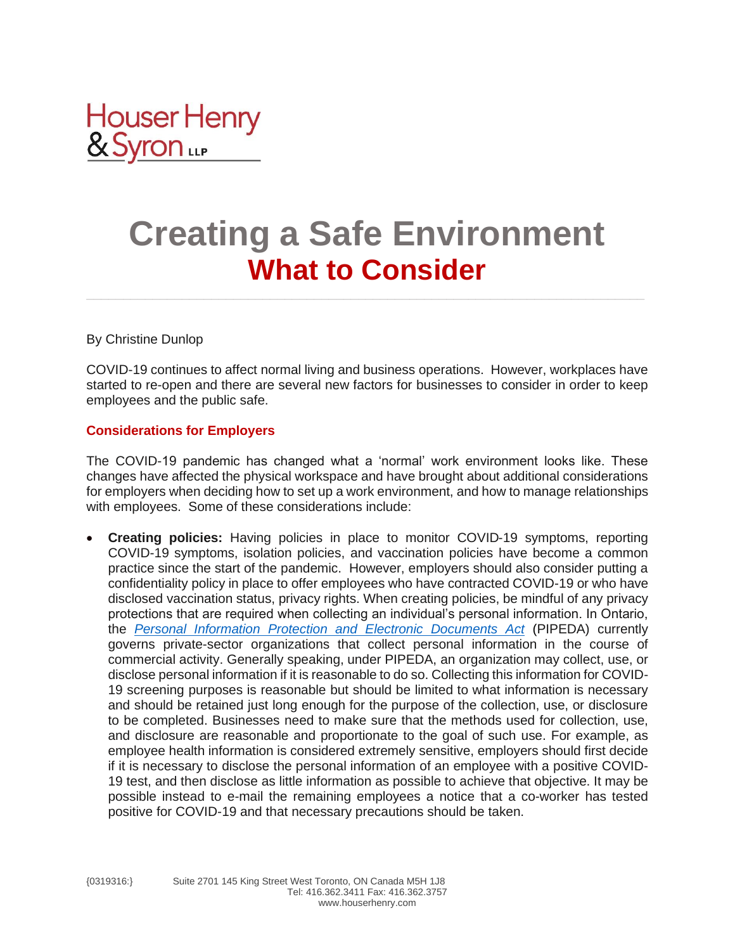

# **Creating a Safe Environment What to Consider**

By Christine Dunlop

COVID-19 continues to affect normal living and business operations. However, workplaces have started to re-open and there are several new factors for businesses to consider in order to keep employees and the public safe.

#### **Considerations for Employers**

The COVID-19 pandemic has changed what a 'normal' work environment looks like. These changes have affected the physical workspace and have brought about additional considerations for employers when deciding how to set up a work environment, and how to manage relationships with employees. Some of these considerations include:

• **Creating policies:** Having policies in place to monitor COVID-19 symptoms, reporting COVID-19 symptoms, isolation policies, and vaccination policies have become a common practice since the start of the pandemic. However, employers should also consider putting a confidentiality policy in place to offer employees who have contracted COVID-19 or who have disclosed vaccination status, privacy rights. When creating policies, be mindful of any privacy protections that are required when collecting an individual's personal information. In Ontario, the *[Personal Information Protection and Electronic Documents Act](https://www.priv.gc.ca/en/privacy-topics/privacy-laws-in-canada/the-personal-information-protection-and-electronic-documents-act-pipeda/)* (PIPEDA) currently governs private-sector organizations that collect personal information in the course of commercial activity. Generally speaking, under PIPEDA, an organization may collect, use, or disclose personal information if it is reasonable to do so. Collecting this information for COVID-19 screening purposes is reasonable but should be limited to what information is necessary and should be retained just long enough for the purpose of the collection, use, or disclosure to be completed. Businesses need to make sure that the methods used for collection, use, and disclosure are reasonable and proportionate to the goal of such use. For example, as employee health information is considered extremely sensitive, employers should first decide if it is necessary to disclose the personal information of an employee with a positive COVID-19 test, and then disclose as little information as possible to achieve that objective. It may be possible instead to e-mail the remaining employees a notice that a co-worker has tested positive for COVID-19 and that necessary precautions should be taken.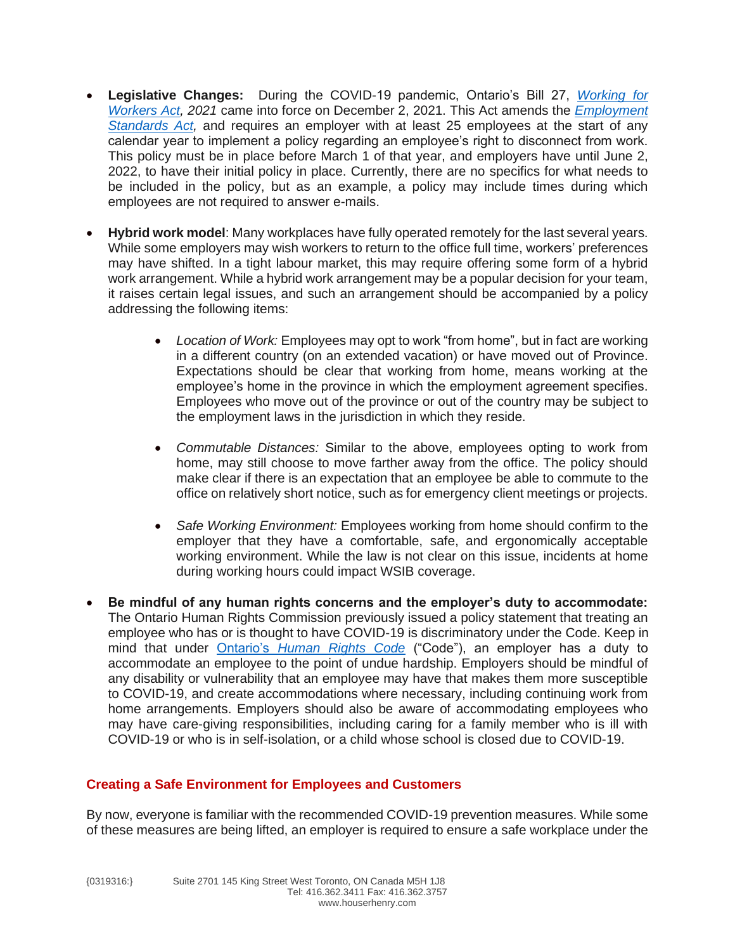- **Legislative Changes:** During the COVID-19 pandemic, Ontario's Bill 27, *[Working for](https://news.ontario.ca/en/backgrounder/1001668/working-for-workers-act-2022)  [Workers Act,](https://news.ontario.ca/en/backgrounder/1001668/working-for-workers-act-2022) 2021* came into force on December 2, 2021. This Act amends the *[Employment](https://www.ontario.ca/document/your-guide-employment-standards-act-0)  [Standards Act,](https://www.ontario.ca/document/your-guide-employment-standards-act-0)* and requires an employer with at least 25 employees at the start of any calendar year to implement a policy regarding an employee's right to disconnect from work. This policy must be in place before March 1 of that year, and employers have until June 2, 2022, to have their initial policy in place. Currently, there are no specifics for what needs to be included in the policy, but as an example, a policy may include times during which employees are not required to answer e-mails.
- **Hybrid work model**: Many workplaces have fully operated remotely for the last several years. While some employers may wish workers to return to the office full time, workers' preferences may have shifted. In a tight labour market, this may require offering some form of a hybrid work arrangement. While a hybrid work arrangement may be a popular decision for your team, it raises certain legal issues, and such an arrangement should be accompanied by a policy addressing the following items:
	- *Location of Work:* Employees may opt to work "from home", but in fact are working in a different country (on an extended vacation) or have moved out of Province. Expectations should be clear that working from home, means working at the employee's home in the province in which the employment agreement specifies. Employees who move out of the province or out of the country may be subject to the employment laws in the jurisdiction in which they reside.
	- *Commutable Distances:* Similar to the above, employees opting to work from home, may still choose to move farther away from the office. The policy should make clear if there is an expectation that an employee be able to commute to the office on relatively short notice, such as for emergency client meetings or projects.
	- *Safe Working Environment:* Employees working from home should confirm to the employer that they have a comfortable, safe, and ergonomically acceptable working environment. While the law is not clear on this issue, incidents at home during working hours could impact WSIB coverage.
- **Be mindful of any human rights concerns and the employer's duty to accommodate:** The Ontario Human Rights Commission previously issued a policy statement that treating an employee who has or is thought to have COVID-19 is discriminatory under the Code. Keep in mind that under Ontario's *[Human Rights Code](https://www.ohrc.on.ca/en/ontario-human-rights-code)* ("Code"), an employer has a duty to accommodate an employee to the point of undue hardship. Employers should be mindful of any disability or vulnerability that an employee may have that makes them more susceptible to COVID-19, and create accommodations where necessary, including continuing work from home arrangements. Employers should also be aware of accommodating employees who may have care-giving responsibilities, including caring for a family member who is ill with COVID-19 or who is in self-isolation, or a child whose school is closed due to COVID-19.

### **Creating a Safe Environment for Employees and Customers**

By now, everyone is familiar with the recommended COVID-19 prevention measures. While some of these measures are being lifted, an employer is required to ensure a safe workplace under the

{0319316:} Suite 2701 145 King Street West Toronto, ON Canada M5H 1J8